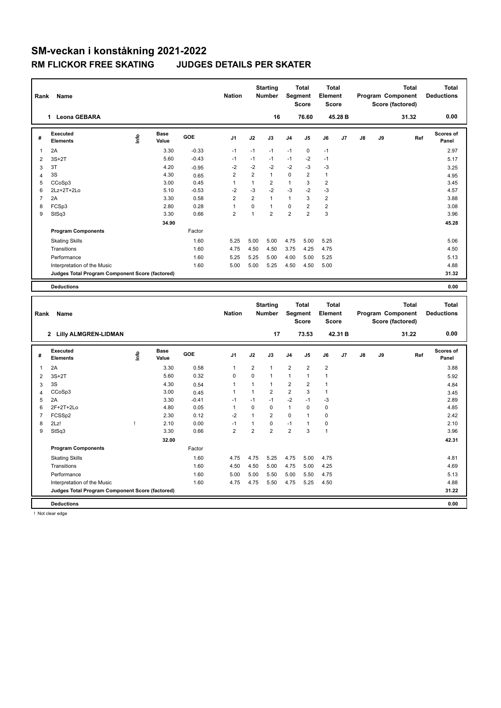| Rank           | Name                                            |             |                      |         | <b>Nation</b>  |                | <b>Starting</b><br>Number | Segment                 | Total<br>Score                          | <b>Total</b><br>Element<br><b>Score</b> |         |               |    | Program Component<br>Score (factored) | <b>Total</b> | <b>Total</b><br><b>Deductions</b> |
|----------------|-------------------------------------------------|-------------|----------------------|---------|----------------|----------------|---------------------------|-------------------------|-----------------------------------------|-----------------------------------------|---------|---------------|----|---------------------------------------|--------------|-----------------------------------|
|                | 1 Leona GEBARA                                  |             |                      |         |                |                | 16                        |                         | 76.60                                   |                                         | 45.28 B |               |    |                                       | 31.32        | 0.00                              |
| #              | <b>Executed</b><br><b>Elements</b>              | <u>info</u> | <b>Base</b><br>Value | GOE     | J1             | J2             | J3                        | J4                      | J5                                      | J6                                      | J7      | J8            | J9 |                                       | Ref          | <b>Scores of</b><br>Panel         |
| $\mathbf{1}$   | 2A                                              |             | 3.30                 | $-0.33$ | $-1$           | $-1$           | $-1$                      | $-1$                    | $\mathbf 0$                             | $-1$                                    |         |               |    |                                       |              | 2.97                              |
| $\overline{2}$ | $3S+2T$                                         |             | 5.60                 | $-0.43$ | $-1$           | $-1$           | $-1$                      | $-1$                    | $-2$                                    | $-1$                                    |         |               |    |                                       |              | 5.17                              |
| $\mathbf{3}$   | 3T                                              |             | 4.20                 | $-0.95$ | $-2$           | $-2$           | $-2$                      | $-2$                    | $-3$                                    | $-3$                                    |         |               |    |                                       |              | 3.25                              |
| $\overline{4}$ | 3S                                              |             | 4.30                 | 0.65    | $\overline{2}$ | $\overline{2}$ | $\mathbf{1}$              | $\mathsf 0$             | $\overline{2}$                          | $\mathbf{1}$                            |         |               |    |                                       |              | 4.95                              |
| 5              | CCoSp3                                          |             | 3.00                 | 0.45    | $\mathbf{1}$   | $\mathbf{1}$   | $\overline{2}$            | $\mathbf{1}$            | 3                                       | $\overline{2}$                          |         |               |    |                                       |              | 3.45                              |
| 6              | 2Lz+2T+2Lo                                      |             | 5.10                 | $-0.53$ | $-2$           | $-3$           | $-2$                      | -3                      | $-2$                                    | $-3$                                    |         |               |    |                                       |              | 4.57                              |
| $\overline{7}$ | 2A                                              |             | 3.30                 | 0.58    | $\overline{2}$ | $\overline{2}$ | $\mathbf{1}$              | $\mathbf{1}$            | 3                                       | $\overline{2}$                          |         |               |    |                                       |              | 3.88                              |
| 8              | FCSp3                                           |             | 2.80                 | 0.28    | $\mathbf{1}$   | 0              | $\mathbf{1}$              | $\mathsf 0$             | $\overline{2}$                          | $\overline{2}$                          |         |               |    |                                       |              | 3.08                              |
| 9              | StSq3                                           |             | 3.30                 | 0.66    | $\overline{2}$ | $\mathbf{1}$   | $\overline{2}$            | $\overline{2}$          | $\overline{2}$                          | 3                                       |         |               |    |                                       |              | 3.96                              |
|                |                                                 |             | 34.90                |         |                |                |                           |                         |                                         |                                         |         |               |    |                                       |              | 45.28                             |
|                | <b>Program Components</b>                       |             |                      | Factor  |                |                |                           |                         |                                         |                                         |         |               |    |                                       |              |                                   |
|                | <b>Skating Skills</b>                           |             |                      | 1.60    | 5.25           | 5.00           | 5.00                      | 4.75                    | 5.00                                    | 5.25                                    |         |               |    |                                       |              | 5.06                              |
|                | Transitions                                     |             |                      | 1.60    | 4.75           | 4.50           | 4.50                      | 3.75                    | 4.25                                    | 4.75                                    |         |               |    |                                       |              | 4.50                              |
|                | Performance                                     |             |                      | 1.60    | 5.25           | 5.25           | 5.00                      | 4.00                    | 5.00                                    | 5.25                                    |         |               |    |                                       |              | 5.13                              |
|                | Interpretation of the Music                     |             |                      | 1.60    | 5.00           | 5.00           | 5.25                      | 4.50                    | 4.50                                    | 5.00                                    |         |               |    |                                       |              | 4.88                              |
|                | Judges Total Program Component Score (factored) |             |                      |         |                |                |                           |                         |                                         |                                         |         |               |    |                                       |              | 31.32                             |
|                |                                                 |             |                      |         |                |                |                           |                         |                                         |                                         |         |               |    |                                       |              |                                   |
|                | <b>Deductions</b>                               |             |                      |         |                |                |                           |                         |                                         |                                         |         |               |    |                                       |              | 0.00                              |
|                |                                                 |             |                      |         |                |                |                           |                         |                                         |                                         |         |               |    |                                       |              |                                   |
| Rank           | Name                                            |             |                      |         | <b>Nation</b>  |                | <b>Starting</b><br>Number |                         | <b>Total</b><br>Segment<br><b>Score</b> | <b>Total</b><br>Element<br><b>Score</b> |         |               |    | Program Component<br>Score (factored) | <b>Total</b> | <b>Total</b><br><b>Deductions</b> |
|                | 2 Lilly ALMGREN-LIDMAN                          |             |                      |         |                |                | 17                        |                         | 73.53                                   |                                         | 42.31B  |               |    |                                       | 31.22        | 0.00                              |
| #              | <b>Executed</b><br><b>Elements</b>              |             | <b>Base</b><br>Value | GOE     | J <sub>1</sub> | J2             | J3                        | J4                      | J5                                      | J6                                      | J7      | $\mathsf{J}8$ | J9 |                                       | Ref          | <b>Scores of</b><br>Panel         |
|                |                                                 | ١m          |                      |         |                |                |                           |                         |                                         |                                         |         |               |    |                                       |              |                                   |
| $\mathbf{1}$   | 2A                                              |             | 3.30                 | 0.58    | 1              | $\overline{2}$ | $\mathbf{1}$              | $\overline{2}$          | $\overline{2}$                          | $\overline{2}$                          |         |               |    |                                       |              | 3.88                              |
| $\overline{2}$ | $3S+2T$                                         |             | 5.60                 | 0.32    | $\mathsf 0$    | 0              | $\mathbf{1}$              | $\mathbf{1}$            | $\mathbf{1}$                            | $\mathbf{1}$                            |         |               |    |                                       |              | 5.92                              |
| 3              | 3S                                              |             | 4.30                 | 0.54    | 1              | 1              | $\mathbf{1}$              | $\overline{\mathbf{c}}$ | $\overline{\mathbf{c}}$                 | $\mathbf{1}$                            |         |               |    |                                       |              | 4.84                              |
| $\overline{4}$ | CCoSp3                                          |             | 3.00                 | 0.45    | 1              | 1              | $\mathbf 2$               | $\overline{2}$          | 3                                       | $\mathbf{1}$                            |         |               |    |                                       |              | 3.45                              |
| 5              | 2A                                              |             | 3.30                 | $-0.41$ | $-1$           | $-1$           | $-1$                      | $-2$                    | $-1$                                    | $-3$                                    |         |               |    |                                       |              | 2.89                              |
| 6              | 2F+2T+2Lo                                       |             | 4.80                 | 0.05    | $\mathbf{1}$   | $\mathbf 0$    | $\mathbf 0$               | $\mathbf{1}$            | 0                                       | $\mathbf 0$                             |         |               |    |                                       |              | 4.85                              |
| $\overline{7}$ | FCSSp2                                          |             | 2.30                 | 0.12    | $-2$           | 1              | $\overline{2}$            | 0                       | 1                                       | $\mathbf 0$                             |         |               |    |                                       |              | 2.42                              |
| 8              | 2Lz!                                            | Ţ           | 2.10                 | 0.00    | $-1$           | 1              | 0<br>$\overline{2}$       | $-1$                    | 1                                       | $\pmb{0}$                               |         |               |    |                                       |              | 2.10                              |
| 9              | StSq3                                           |             | 3.30                 | 0.66    | $\overline{2}$ | $\overline{2}$ |                           | $\overline{2}$          | 3                                       | $\mathbf{1}$                            |         |               |    |                                       |              | 3.96                              |
|                |                                                 |             | 32.00                |         |                |                |                           |                         |                                         |                                         |         |               |    |                                       |              | 42.31                             |
|                | <b>Program Components</b>                       |             |                      | Factor  |                |                |                           |                         |                                         |                                         |         |               |    |                                       |              |                                   |
|                | <b>Skating Skills</b>                           |             |                      | 1.60    | 4.75           | 4.75           | 5.25                      | 4.75                    | 5.00                                    | 4.75                                    |         |               |    |                                       |              | 4.81                              |
|                | Transitions                                     |             |                      | 1.60    | 4.50           | 4.50           | 5.00                      | 4.75                    | 5.00                                    | 4.25                                    |         |               |    |                                       |              | 4.69                              |
|                | Performance                                     |             |                      | 1.60    | 5.00           | 5.00           | 5.50                      | 5.00                    | 5.50                                    | 4.75                                    |         |               |    |                                       |              | 5.13                              |
|                | Interpretation of the Music                     |             |                      | 1.60    | 4.75           | 4.75           | 5.50                      | 4.75                    | 5.25                                    | 4.50                                    |         |               |    |                                       |              | 4.88                              |
|                | Judges Total Program Component Score (factored) |             |                      |         |                |                |                           |                         |                                         |                                         |         |               |    |                                       |              | 31.22                             |

! Not clear edge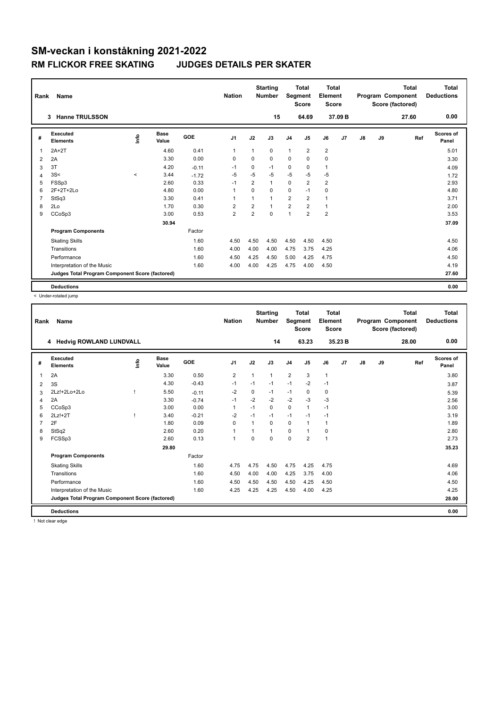| Rank           | Name                                            |         |                      |            | <b>Nation</b>           |                | <b>Starting</b><br><b>Number</b> | Segment        | <b>Total</b><br><b>Score</b> | Total<br>Element<br>Score |         |    |    | <b>Total</b><br>Program Component<br>Score (factored) | Total<br><b>Deductions</b> |
|----------------|-------------------------------------------------|---------|----------------------|------------|-------------------------|----------------|----------------------------------|----------------|------------------------------|---------------------------|---------|----|----|-------------------------------------------------------|----------------------------|
|                | <b>Hanne TRULSSON</b><br>3                      |         |                      |            |                         |                | 15                               |                | 64.69                        |                           | 37.09 B |    |    | 27.60                                                 | 0.00                       |
| #              | Executed<br><b>Elements</b>                     | Info    | <b>Base</b><br>Value | <b>GOE</b> | J <sub>1</sub>          | J2             | J3                               | J <sub>4</sub> | J <sub>5</sub>               | J6                        | J7      | J8 | J9 | Ref                                                   | <b>Scores of</b><br>Panel  |
| 1              | $2A+2T$                                         |         | 4.60                 | 0.41       | $\overline{1}$          | 1              | $\Omega$                         | $\mathbf{1}$   | $\overline{2}$               | $\overline{2}$            |         |    |    |                                                       | 5.01                       |
| 2              | 2A                                              |         | 3.30                 | 0.00       | $\mathbf 0$             | $\Omega$       | $\Omega$                         | $\mathbf 0$    | $\Omega$                     | $\mathbf 0$               |         |    |    |                                                       | 3.30                       |
| 3              | 3T                                              |         | 4.20                 | $-0.11$    | $-1$                    | $\Omega$       | $-1$                             | $\mathbf 0$    | $\Omega$                     | $\mathbf{1}$              |         |    |    |                                                       | 4.09                       |
| 4              | 3S<                                             | $\prec$ | 3.44                 | $-1.72$    | $-5$                    | $-5$           | $-5$                             | $-5$           | $-5$                         | $-5$                      |         |    |    |                                                       | 1.72                       |
| 5              | FSSp3                                           |         | 2.60                 | 0.33       | $-1$                    | $\overline{2}$ | 1                                | $\Omega$       | $\overline{2}$               | $\overline{2}$            |         |    |    |                                                       | 2.93                       |
| 6              | 2F+2T+2Lo                                       |         | 4.80                 | 0.00       | 1                       | $\Omega$       | $\Omega$                         | 0              | $-1$                         | $\mathbf 0$               |         |    |    |                                                       | 4.80                       |
| $\overline{7}$ | StSq3                                           |         | 3.30                 | 0.41       | 1                       |                | $\mathbf{1}$                     | $\overline{2}$ | $\overline{2}$               | $\mathbf{1}$              |         |    |    |                                                       | 3.71                       |
| 8              | 2Lo                                             |         | 1.70                 | 0.30       | $\overline{\mathbf{c}}$ | $\overline{2}$ | $\mathbf{1}$                     | $\overline{2}$ | $\overline{2}$               | $\mathbf{1}$              |         |    |    |                                                       | 2.00                       |
| 9              | CCoSp3                                          |         | 3.00                 | 0.53       | $\overline{2}$          | $\overline{2}$ | $\mathbf 0$                      | 1              | $\overline{2}$               | $\overline{2}$            |         |    |    |                                                       | 3.53                       |
|                |                                                 |         | 30.94                |            |                         |                |                                  |                |                              |                           |         |    |    |                                                       | 37.09                      |
|                | <b>Program Components</b>                       |         |                      | Factor     |                         |                |                                  |                |                              |                           |         |    |    |                                                       |                            |
|                | <b>Skating Skills</b>                           |         |                      | 1.60       | 4.50                    | 4.50           | 4.50                             | 4.50           | 4.50                         | 4.50                      |         |    |    |                                                       | 4.50                       |
|                | Transitions                                     |         |                      | 1.60       | 4.00                    | 4.00           | 4.00                             | 4.75           | 3.75                         | 4.25                      |         |    |    |                                                       | 4.06                       |
|                | Performance                                     |         |                      | 1.60       | 4.50                    | 4.25           | 4.50                             | 5.00           | 4.25                         | 4.75                      |         |    |    |                                                       | 4.50                       |
|                | Interpretation of the Music                     |         |                      | 1.60       | 4.00                    | 4.00           | 4.25                             | 4.75           | 4.00                         | 4.50                      |         |    |    |                                                       | 4.19                       |
|                | Judges Total Program Component Score (factored) |         |                      |            |                         |                |                                  |                |                              |                           |         |    |    |                                                       | 27.60                      |
|                | <b>Deductions</b>                               |         |                      |            |                         |                |                                  |                |                              |                           |         |    |    |                                                       | 0.00                       |

< Under-rotated jump

| Rank | <b>Name</b>                                     |      |                      |         | <b>Nation</b>  |          | <b>Starting</b><br><b>Number</b> | Segment        | <b>Total</b><br><b>Score</b> | <b>Total</b><br>Element<br><b>Score</b> |         |               |    | <b>Total</b><br>Program Component<br>Score (factored) | <b>Total</b><br><b>Deductions</b> |
|------|-------------------------------------------------|------|----------------------|---------|----------------|----------|----------------------------------|----------------|------------------------------|-----------------------------------------|---------|---------------|----|-------------------------------------------------------|-----------------------------------|
|      | 4 Hedvig ROWLAND LUNDVALL                       |      |                      |         |                |          | 14                               |                | 63.23                        |                                         | 35.23 B |               |    | 28.00                                                 | 0.00                              |
| #    | Executed<br><b>Elements</b>                     | lnfo | <b>Base</b><br>Value | GOE     | J <sub>1</sub> | J2       | J3                               | J <sub>4</sub> | J <sub>5</sub>               | J6                                      | J7      | $\mathsf{J}8$ | J9 | Ref                                                   | Scores of<br>Panel                |
| 1    | 2A                                              |      | 3.30                 | 0.50    | 2              | 1        | 1                                | $\overline{2}$ | 3                            | $\mathbf{1}$                            |         |               |    |                                                       | 3.80                              |
| 2    | 3S                                              |      | 4.30                 | $-0.43$ | -1             | $-1$     | $-1$                             | $-1$           | $-2$                         | $-1$                                    |         |               |    |                                                       | 3.87                              |
| 3    | 2Lz!+2Lo+2Lo                                    |      | 5.50                 | $-0.11$ | $-2$           | 0        | $-1$                             | $-1$           | 0                            | 0                                       |         |               |    |                                                       | 5.39                              |
| 4    | 2A                                              |      | 3.30                 | $-0.74$ | $-1$           | $-2$     | $-2$                             | $-2$           | $-3$                         | $-3$                                    |         |               |    |                                                       | 2.56                              |
| 5    | CCoSp3                                          |      | 3.00                 | 0.00    | $\overline{1}$ | $-1$     | $\mathbf 0$                      | $\mathbf 0$    | $\mathbf{1}$                 | $-1$                                    |         |               |    |                                                       | 3.00                              |
| 6    | 2Lz!+2T                                         |      | 3.40                 | $-0.21$ | $-2$           | $-1$     | $-1$                             | $-1$           | $-1$                         | $-1$                                    |         |               |    |                                                       | 3.19                              |
|      | 2F                                              |      | 1.80                 | 0.09    | $\Omega$       |          | $\Omega$                         | 0              |                              | 1                                       |         |               |    |                                                       | 1.89                              |
| 8    | StSq2                                           |      | 2.60                 | 0.20    | 1              |          | $\overline{1}$                   | 0              | 1                            | $\mathbf 0$                             |         |               |    |                                                       | 2.80                              |
| 9    | FCSSp3                                          |      | 2.60                 | 0.13    | $\overline{1}$ | $\Omega$ | $\Omega$                         | 0              | $\overline{2}$               | $\mathbf{1}$                            |         |               |    |                                                       | 2.73                              |
|      |                                                 |      | 29.80                |         |                |          |                                  |                |                              |                                         |         |               |    |                                                       | 35.23                             |
|      | <b>Program Components</b>                       |      |                      | Factor  |                |          |                                  |                |                              |                                         |         |               |    |                                                       |                                   |
|      | <b>Skating Skills</b>                           |      |                      | 1.60    | 4.75           | 4.75     | 4.50                             | 4.75           | 4.25                         | 4.75                                    |         |               |    |                                                       | 4.69                              |
|      | Transitions                                     |      |                      | 1.60    | 4.50           | 4.00     | 4.00                             | 4.25           | 3.75                         | 4.00                                    |         |               |    |                                                       | 4.06                              |
|      | Performance                                     |      |                      | 1.60    | 4.50           | 4.50     | 4.50                             | 4.50           | 4.25                         | 4.50                                    |         |               |    |                                                       | 4.50                              |
|      | Interpretation of the Music                     |      |                      | 1.60    | 4.25           | 4.25     | 4.25                             | 4.50           | 4.00                         | 4.25                                    |         |               |    |                                                       | 4.25                              |
|      | Judges Total Program Component Score (factored) |      |                      |         |                |          |                                  |                |                              |                                         |         |               |    |                                                       | 28.00                             |
|      | <b>Deductions</b>                               |      |                      |         |                |          |                                  |                |                              |                                         |         |               |    |                                                       | 0.00                              |

! Not clear edge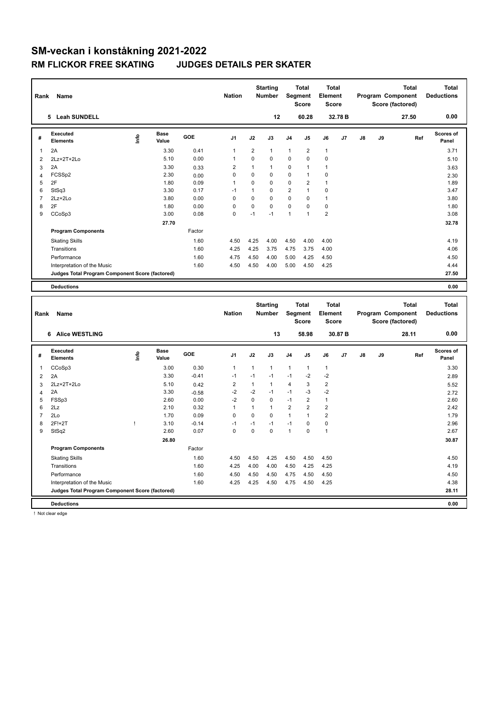| Rank                | Name                                                                           |      |                      |                 | <b>Nation</b>           |                | <b>Starting</b><br><b>Number</b> |                | Total<br>Segment<br><b>Score</b>        | <b>Total</b><br>Element<br><b>Score</b> |         |               |    | Program Component<br>Score (factored) | <b>Total</b> | <b>Total</b><br><b>Deductions</b> |
|---------------------|--------------------------------------------------------------------------------|------|----------------------|-----------------|-------------------------|----------------|----------------------------------|----------------|-----------------------------------------|-----------------------------------------|---------|---------------|----|---------------------------------------|--------------|-----------------------------------|
|                     | 5 Leah SUNDELL                                                                 |      |                      |                 |                         |                | 12                               |                | 60.28                                   |                                         | 32.78 B |               |    |                                       | 27.50        | 0.00                              |
| #                   | <b>Executed</b><br><b>Elements</b>                                             | ۴٥   | <b>Base</b><br>Value | GOE             | J <sub>1</sub>          | J2             | J3                               | J4             | J5                                      | J6                                      | J7      | $\mathsf{J}8$ | J9 |                                       | Ref          | <b>Scores of</b><br>Panel         |
| $\mathbf{1}$        | 2A                                                                             |      | 3.30                 | 0.41            | 1                       | $\overline{2}$ | $\mathbf{1}$                     | 1              | $\overline{2}$                          | $\mathbf{1}$                            |         |               |    |                                       |              | 3.71                              |
| $\overline{2}$      | 2Lz+2T+2Lo                                                                     |      | 5.10                 | 0.00            | 1                       | 0              | $\mathbf 0$                      | $\mathbf 0$    | 0                                       | $\mathbf 0$                             |         |               |    |                                       |              | 5.10                              |
| 3                   | 2A                                                                             |      | 3.30                 | 0.33            | $\overline{2}$          | $\mathbf{1}$   | $\mathbf{1}$                     | 0              | 1                                       | $\mathbf{1}$                            |         |               |    |                                       |              | 3.63                              |
| $\overline{4}$      | FCSSp2                                                                         |      | 2.30                 | 0.00            | $\mathbf 0$             | 0              | $\mathbf 0$                      | 0              | 1                                       | $\mathbf 0$                             |         |               |    |                                       |              | 2.30                              |
| 5                   | 2F                                                                             |      | 1.80                 | 0.09            | $\mathbf{1}$            | 0              | $\mathbf 0$                      | 0              | $\overline{2}$                          | $\mathbf{1}$                            |         |               |    |                                       |              | 1.89                              |
| 6                   | StSq3                                                                          |      | 3.30                 | 0.17            | $-1$                    | $\mathbf{1}$   | $\mathbf 0$                      | $\overline{2}$ | 1                                       | $\mathbf 0$                             |         |               |    |                                       |              | 3.47                              |
| $\overline{7}$      | 2Lz+2Lo                                                                        |      | 3.80                 | 0.00            | $\mathbf 0$             | 0              | $\mathbf 0$                      | 0              | 0                                       | $\mathbf{1}$                            |         |               |    |                                       |              | 3.80                              |
| 8                   | 2F                                                                             |      | 1.80                 | 0.00            | $\mathsf 0$             | 0              | $\mathbf 0$                      | $\mathsf 0$    | 0                                       | $\mathbf 0$                             |         |               |    |                                       |              | 1.80                              |
| 9                   | CCoSp3                                                                         |      | 3.00                 | 0.08            | $\Omega$                | $-1$           | $-1$                             | 1              | 1                                       | $\overline{2}$                          |         |               |    |                                       |              | 3.08                              |
|                     |                                                                                |      | 27.70                |                 |                         |                |                                  |                |                                         |                                         |         |               |    |                                       |              | 32.78                             |
|                     | <b>Program Components</b>                                                      |      |                      | Factor          |                         |                |                                  |                |                                         |                                         |         |               |    |                                       |              |                                   |
|                     | <b>Skating Skills</b>                                                          |      |                      | 1.60            | 4.50                    | 4.25           | 4.00                             | 4.50           | 4.00                                    | 4.00                                    |         |               |    |                                       |              | 4.19                              |
|                     | Transitions                                                                    |      |                      | 1.60            | 4.25                    | 4.25           | 3.75                             | 4.75           | 3.75                                    | 4.00                                    |         |               |    |                                       |              | 4.06                              |
|                     | Performance                                                                    |      |                      | 1.60            | 4.75                    | 4.50           | 4.00                             | 5.00           | 4.25                                    | 4.50                                    |         |               |    |                                       |              | 4.50                              |
|                     | Interpretation of the Music                                                    |      |                      | 1.60            | 4.50                    | 4.50           | 4.00                             | 5.00           | 4.50                                    | 4.25                                    |         |               |    |                                       |              | 4.44                              |
|                     | Judges Total Program Component Score (factored)                                |      |                      |                 |                         |                |                                  |                |                                         |                                         |         |               |    |                                       |              | 27.50                             |
|                     |                                                                                |      |                      |                 |                         |                |                                  |                |                                         |                                         |         |               |    |                                       |              |                                   |
|                     | <b>Deductions</b>                                                              |      |                      |                 |                         |                |                                  |                |                                         |                                         |         |               |    |                                       |              | 0.00                              |
|                     |                                                                                |      |                      |                 |                         |                |                                  |                |                                         |                                         |         |               |    |                                       |              |                                   |
| Rank                | Name                                                                           |      |                      |                 | <b>Nation</b>           |                | <b>Starting</b><br>Number        |                | <b>Total</b><br><b>Segment</b><br>Score | <b>Total</b><br>Element<br><b>Score</b> |         |               |    | Program Component<br>Score (factored) | <b>Total</b> | <b>Total</b><br><b>Deductions</b> |
|                     | 6 Alice WESTLING                                                               |      |                      |                 |                         |                | 13                               |                | 58.98                                   |                                         | 30.87 B |               |    |                                       | 28.11        | 0.00                              |
| #                   | <b>Executed</b><br><b>Elements</b>                                             | lnfo | <b>Base</b><br>Value | GOE             | J <sub>1</sub>          | J <sub>2</sub> | J3                               | J4             | J5                                      | J6                                      | J7      | J8            | J9 |                                       | Ref          | Scores of<br>Panel                |
|                     |                                                                                |      |                      |                 |                         |                |                                  |                |                                         |                                         |         |               |    |                                       |              |                                   |
| 1                   | CCoSp3                                                                         |      | 3.00                 | 0.30            | 1                       | 1              | $\mathbf{1}$                     | 1              | 1                                       | $\mathbf{1}$                            |         |               |    |                                       |              | 3.30                              |
| $\overline{2}$      | 2A                                                                             |      | 3.30                 | $-0.41$         | $-1$                    | $-1$           | $-1$                             | $-1$           | $-2$                                    | $-2$                                    |         |               |    |                                       |              | 2.89                              |
| 3                   | 2Lz+2T+2Lo                                                                     |      | 5.10                 | 0.42            | $\overline{\mathbf{c}}$ | $\mathbf{1}$   | $\mathbf{1}$<br>$-1$             | 4              | 3                                       | $\overline{2}$                          |         |               |    |                                       |              | 5.52                              |
| $\overline{4}$<br>5 | 2A                                                                             |      | 3.30<br>2.60         | $-0.58$<br>0.00 | $-2$<br>$-2$            | $-2$<br>0      | $\mathbf 0$                      | $-1$<br>$-1$   | -3<br>$\overline{2}$                    | $-2$<br>$\mathbf{1}$                    |         |               |    |                                       |              | 2.72<br>2.60                      |
| 6                   | FSSp3<br>2Lz                                                                   |      | 2.10                 | 0.32            | $\mathbf{1}$            | $\mathbf{1}$   | $\mathbf{1}$                     | $\overline{2}$ | $\overline{2}$                          | $\overline{2}$                          |         |               |    |                                       |              | 2.42                              |
| $\overline{7}$      | 2Lo                                                                            |      | 1.70                 | 0.09            | $\mathbf 0$             | 0              | $\mathbf 0$                      | 1              | 1                                       | $\overline{2}$                          |         |               |    |                                       |              | 1.79                              |
| 8                   | 2F!+2T                                                                         | Ţ    | 3.10                 | $-0.14$         | $-1$                    | $-1$           | $-1$                             | $-1$           | 0                                       | $\mathbf 0$                             |         |               |    |                                       |              | 2.96                              |
| 9                   | StSq2                                                                          |      | 2.60                 | 0.07            | $\mathbf 0$             | $\mathbf 0$    | $\mathbf 0$                      | $\mathbf{1}$   | 0                                       | $\mathbf{1}$                            |         |               |    |                                       |              | 2.67                              |
|                     |                                                                                |      | 26.80                |                 |                         |                |                                  |                |                                         |                                         |         |               |    |                                       |              | 30.87                             |
|                     | <b>Program Components</b>                                                      |      |                      | Factor          |                         |                |                                  |                |                                         |                                         |         |               |    |                                       |              |                                   |
|                     |                                                                                |      |                      | 1.60            | 4.50                    |                | 4.25                             |                |                                         |                                         |         |               |    |                                       |              |                                   |
|                     | <b>Skating Skills</b>                                                          |      |                      |                 |                         | 4.50           |                                  | 4.50           | 4.50                                    | 4.50                                    |         |               |    |                                       |              | 4.50                              |
|                     | Transitions                                                                    |      |                      | 1.60            | 4.25                    | 4.00           | 4.00                             | 4.50           | 4.25                                    | 4.25                                    |         |               |    |                                       |              | 4.19                              |
|                     | Performance                                                                    |      |                      | 1.60            | 4.50                    | 4.50           | 4.50                             | 4.75           | 4.50                                    | 4.50                                    |         |               |    |                                       |              | 4.50                              |
|                     | Interpretation of the Music<br>Judges Total Program Component Score (factored) |      |                      | 1.60            | 4.25                    | 4.25           | 4.50                             | 4.75           | 4.50                                    | 4.25                                    |         |               |    |                                       |              | 4.38<br>28.11                     |
|                     | <b>Deductions</b>                                                              |      |                      |                 |                         |                |                                  |                |                                         |                                         |         |               |    |                                       |              | 0.00                              |

! Not clear edge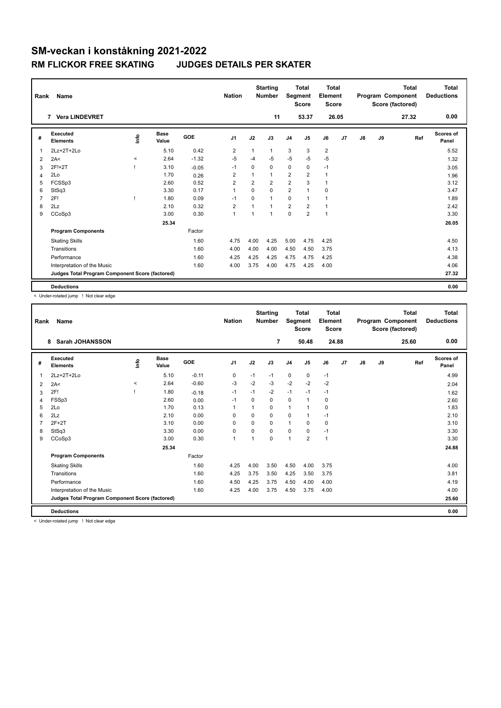| Rank           | Name                                            |             |                      |            | <b>Nation</b>  |                | <b>Starting</b><br><b>Number</b> | Segment                 | <b>Total</b><br><b>Score</b> | Total<br>Element<br>Score |       |    |    | <b>Total</b><br>Program Component<br>Score (factored) | Total<br><b>Deductions</b> |
|----------------|-------------------------------------------------|-------------|----------------------|------------|----------------|----------------|----------------------------------|-------------------------|------------------------------|---------------------------|-------|----|----|-------------------------------------------------------|----------------------------|
|                | 7 Vera LINDEVRET                                |             |                      |            |                |                | 11                               |                         | 53.37                        |                           | 26.05 |    |    | 27.32                                                 | 0.00                       |
| #              | Executed<br><b>Elements</b>                     | <u>info</u> | <b>Base</b><br>Value | <b>GOE</b> | J <sub>1</sub> | J2             | J3                               | J <sub>4</sub>          | J <sub>5</sub>               | J6                        | J7    | J8 | J9 | Ref                                                   | Scores of<br>Panel         |
| 1              | 2Lz+2T+2Lo                                      |             | 5.10                 | 0.42       | $\overline{2}$ | 1              | $\mathbf{1}$                     | 3                       | 3                            | $\overline{2}$            |       |    |    |                                                       | 5.52                       |
| 2              | 2A<                                             | $\,<$       | 2.64                 | $-1.32$    | $-5$           | $-4$           | $-5$                             | $-5$                    | $-5$                         | $-5$                      |       |    |    |                                                       | 1.32                       |
| 3              | 2F!+2T                                          |             | 3.10                 | $-0.05$    | $-1$           | $\Omega$       | $\Omega$                         | $\mathbf 0$             | 0                            | $-1$                      |       |    |    |                                                       | 3.05                       |
| 4              | 2Lo                                             |             | 1.70                 | 0.26       | 2              |                | $\mathbf{1}$                     | $\overline{2}$          | $\overline{2}$               | $\mathbf{1}$              |       |    |    |                                                       | 1.96                       |
| 5              | FCSSp3                                          |             | 2.60                 | 0.52       | $\overline{2}$ | $\overline{2}$ | $\overline{2}$                   | $\overline{2}$          | 3                            | $\mathbf{1}$              |       |    |    |                                                       | 3.12                       |
| 6              | StSq3                                           |             | 3.30                 | 0.17       | 1              | 0              | $\Omega$                         | $\overline{\mathbf{c}}$ | $\overline{1}$               | 0                         |       |    |    |                                                       | 3.47                       |
| $\overline{7}$ | 2F!                                             |             | 1.80                 | 0.09       | $-1$           | $\Omega$       | $\mathbf{1}$                     | 0                       | 1                            | $\mathbf{1}$              |       |    |    |                                                       | 1.89                       |
| 8              | 2Lz                                             |             | 2.10                 | 0.32       | $\overline{2}$ |                | $\mathbf{1}$                     | $\overline{2}$          | $\overline{2}$               | $\mathbf{1}$              |       |    |    |                                                       | 2.42                       |
| 9              | CCoSp3                                          |             | 3.00                 | 0.30       | $\overline{1}$ |                | $\mathbf{1}$                     | $\mathbf 0$             | $\overline{2}$               | $\mathbf{1}$              |       |    |    |                                                       | 3.30                       |
|                |                                                 |             | 25.34                |            |                |                |                                  |                         |                              |                           |       |    |    |                                                       | 26.05                      |
|                | <b>Program Components</b>                       |             |                      | Factor     |                |                |                                  |                         |                              |                           |       |    |    |                                                       |                            |
|                | <b>Skating Skills</b>                           |             |                      | 1.60       | 4.75           | 4.00           | 4.25                             | 5.00                    | 4.75                         | 4.25                      |       |    |    |                                                       | 4.50                       |
|                | Transitions                                     |             |                      | 1.60       | 4.00           | 4.00           | 4.00                             | 4.50                    | 4.50                         | 3.75                      |       |    |    |                                                       | 4.13                       |
|                | Performance                                     |             |                      | 1.60       | 4.25           | 4.25           | 4.25                             | 4.75                    | 4.75                         | 4.25                      |       |    |    |                                                       | 4.38                       |
|                | Interpretation of the Music                     |             |                      | 1.60       | 4.00           | 3.75           | 4.00                             | 4.75                    | 4.25                         | 4.00                      |       |    |    |                                                       | 4.06                       |
|                | Judges Total Program Component Score (factored) |             |                      |            |                |                |                                  |                         |                              |                           |       |    |    |                                                       | 27.32                      |
|                | <b>Deductions</b>                               |             |                      |            |                |                |                                  |                         |                              |                           |       |    |    |                                                       | 0.00                       |

< Under-rotated jump ! Not clear edge

| Rank | Name                                            |          |               |         | <b>Nation</b>  |                      | <b>Starting</b><br><b>Number</b> | Segment        | <b>Total</b><br><b>Score</b> | <b>Total</b><br>Element<br>Score |       |    |    | <b>Total</b><br>Program Component<br>Score (factored) | <b>Total</b><br><b>Deductions</b> |
|------|-------------------------------------------------|----------|---------------|---------|----------------|----------------------|----------------------------------|----------------|------------------------------|----------------------------------|-------|----|----|-------------------------------------------------------|-----------------------------------|
|      | <b>Sarah JOHANSSON</b><br>8                     |          |               |         |                |                      | 7                                |                | 50.48                        |                                  | 24.88 |    |    | 25.60                                                 | 0.00                              |
| #    | Executed<br><b>Elements</b>                     | ١nfo     | Base<br>Value | GOE     | J <sub>1</sub> | J2                   | J3                               | J <sub>4</sub> | J <sub>5</sub>               | J6                               | J7    | J8 | J9 | Ref                                                   | <b>Scores of</b><br>Panel         |
| 1    | 2Lz+2T+2Lo                                      |          | 5.10          | $-0.11$ | 0              | $-1$                 | $-1$                             | $\mathbf 0$    | $\mathbf 0$                  | $-1$                             |       |    |    |                                                       | 4.99                              |
| 2    | 2A<                                             | $\hat{}$ | 2.64          | $-0.60$ | -3             | $-2$                 | $-3$                             | $-2$           | $-2$                         | $-2$                             |       |    |    |                                                       | 2.04                              |
| 3    | 2F!                                             |          | 1.80          | $-0.18$ | $-1$           | $-1$                 | $-2$                             | $-1$           | $-1$                         | $-1$                             |       |    |    |                                                       | 1.62                              |
| 4    | FSSp3                                           |          | 2.60          | 0.00    | $-1$           | $\Omega$             | 0                                | $\mathbf 0$    | 1                            | $\mathbf 0$                      |       |    |    |                                                       | 2.60                              |
| 5    | 2Lo                                             |          | 1.70          | 0.13    | $\mathbf{1}$   |                      | 0                                | $\mathbf{1}$   | $\mathbf{1}$                 | 0                                |       |    |    |                                                       | 1.83                              |
| 6    | 2Lz                                             |          | 2.10          | 0.00    | 0              | $\Omega$             | 0                                | $\Omega$       | 1                            | $-1$                             |       |    |    |                                                       | 2.10                              |
|      | $2F+2T$                                         |          | 3.10          | 0.00    | $\Omega$       | $\Omega$             | 0                                | $\mathbf{1}$   | $\Omega$                     | $\mathbf 0$                      |       |    |    |                                                       | 3.10                              |
| 8    | StSq3                                           |          | 3.30          | 0.00    | $\Omega$       | $\Omega$             | $\Omega$                         | $\Omega$       | $\Omega$                     | $-1$                             |       |    |    |                                                       | 3.30                              |
| 9    | CCoSp3                                          |          | 3.00          | 0.30    | $\mathbf{1}$   | $\blacktriangleleft$ | 0                                | $\overline{1}$ | $\overline{2}$               | $\mathbf{1}$                     |       |    |    |                                                       | 3.30                              |
|      |                                                 |          | 25.34         |         |                |                      |                                  |                |                              |                                  |       |    |    |                                                       | 24.88                             |
|      | <b>Program Components</b>                       |          |               | Factor  |                |                      |                                  |                |                              |                                  |       |    |    |                                                       |                                   |
|      | <b>Skating Skills</b>                           |          |               | 1.60    | 4.25           | 4.00                 | 3.50                             | 4.50           | 4.00                         | 3.75                             |       |    |    |                                                       | 4.00                              |
|      | Transitions                                     |          |               | 1.60    | 4.25           | 3.75                 | 3.50                             | 4.25           | 3.50                         | 3.75                             |       |    |    |                                                       | 3.81                              |
|      | Performance                                     |          |               | 1.60    | 4.50           | 4.25                 | 3.75                             | 4.50           | 4.00                         | 4.00                             |       |    |    |                                                       | 4.19                              |
|      | Interpretation of the Music                     |          |               | 1.60    | 4.25           | 4.00                 | 3.75                             | 4.50           | 3.75                         | 4.00                             |       |    |    |                                                       | 4.00                              |
|      | Judges Total Program Component Score (factored) |          |               |         |                |                      |                                  |                |                              |                                  |       |    |    |                                                       | 25.60                             |
|      | <b>Deductions</b>                               |          |               |         |                |                      |                                  |                |                              |                                  |       |    |    |                                                       | 0.00                              |

< Under-rotated jump ! Not clear edge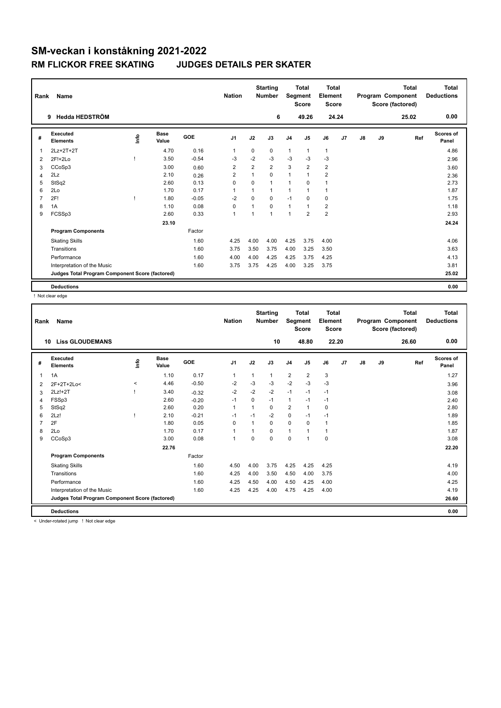| Rank           | Name                                            |            |                      |            | <b>Nation</b>  |                | <b>Starting</b><br><b>Number</b> | Segment        | <b>Total</b><br><b>Score</b> | Total<br>Element<br>Score |       |    |    | <b>Total</b><br>Program Component<br>Score (factored) | Total<br><b>Deductions</b> |
|----------------|-------------------------------------------------|------------|----------------------|------------|----------------|----------------|----------------------------------|----------------|------------------------------|---------------------------|-------|----|----|-------------------------------------------------------|----------------------------|
|                | Hedda HEDSTRÖM<br>9                             |            |                      |            |                |                | 6                                |                | 49.26                        |                           | 24.24 |    |    | 25.02                                                 | 0.00                       |
| #              | Executed<br><b>Elements</b>                     | <b>Lin</b> | <b>Base</b><br>Value | <b>GOE</b> | J <sub>1</sub> | J2             | J3                               | J <sub>4</sub> | J <sub>5</sub>               | J6                        | J7    | J8 | J9 | Ref                                                   | Scores of<br>Panel         |
| 1              | 2Lz+2T+2T                                       |            | 4.70                 | 0.16       | 1              | $\Omega$       | 0                                | 1              | 1                            | $\mathbf{1}$              |       |    |    |                                                       | 4.86                       |
| 2              | 2F!+2Lo                                         |            | 3.50                 | $-0.54$    | -3             | $-2$           | $-3$                             | $-3$           | $-3$                         | $-3$                      |       |    |    |                                                       | 2.96                       |
| 3              | CCoSp3                                          |            | 3.00                 | 0.60       | $\overline{2}$ | $\overline{2}$ | $\overline{2}$                   | 3              | $\overline{2}$               | $\overline{2}$            |       |    |    |                                                       | 3.60                       |
| 4              | 2Lz                                             |            | 2.10                 | 0.26       | $\overline{2}$ | 1              | $\Omega$                         | $\mathbf{1}$   | $\overline{1}$               | $\overline{2}$            |       |    |    |                                                       | 2.36                       |
| 5              | StSq2                                           |            | 2.60                 | 0.13       | $\mathbf 0$    | $\Omega$       | $\mathbf{1}$                     | $\mathbf{1}$   | $\Omega$                     | 1                         |       |    |    |                                                       | 2.73                       |
| 6              | 2Lo                                             |            | 1.70                 | 0.17       | 1              |                | $\mathbf{1}$                     | 1              | 1                            | $\mathbf{1}$              |       |    |    |                                                       | 1.87                       |
| $\overline{7}$ | 2F!                                             |            | 1.80                 | $-0.05$    | $-2$           | $\mathbf 0$    | $\mathbf 0$                      | $-1$           | $\mathbf 0$                  | $\mathbf 0$               |       |    |    |                                                       | 1.75                       |
| 8              | 1A                                              |            | 1.10                 | 0.08       | 0              |                | $\mathbf 0$                      | $\mathbf{1}$   | 1                            | $\overline{2}$            |       |    |    |                                                       | 1.18                       |
| 9              | FCSSp3                                          |            | 2.60                 | 0.33       | $\overline{1}$ |                | 1                                | 1              | $\overline{2}$               | $\overline{2}$            |       |    |    |                                                       | 2.93                       |
|                |                                                 |            | 23.10                |            |                |                |                                  |                |                              |                           |       |    |    |                                                       | 24.24                      |
|                | <b>Program Components</b>                       |            |                      | Factor     |                |                |                                  |                |                              |                           |       |    |    |                                                       |                            |
|                | <b>Skating Skills</b>                           |            |                      | 1.60       | 4.25           | 4.00           | 4.00                             | 4.25           | 3.75                         | 4.00                      |       |    |    |                                                       | 4.06                       |
|                | Transitions                                     |            |                      | 1.60       | 3.75           | 3.50           | 3.75                             | 4.00           | 3.25                         | 3.50                      |       |    |    |                                                       | 3.63                       |
|                | Performance                                     |            |                      | 1.60       | 4.00           | 4.00           | 4.25                             | 4.25           | 3.75                         | 4.25                      |       |    |    |                                                       | 4.13                       |
|                | Interpretation of the Music                     |            |                      | 1.60       | 3.75           | 3.75           | 4.25                             | 4.00           | 3.25                         | 3.75                      |       |    |    |                                                       | 3.81                       |
|                | Judges Total Program Component Score (factored) |            |                      |            |                |                |                                  |                |                              |                           |       |    |    |                                                       | 25.02                      |
|                | <b>Deductions</b>                               |            |                      |            |                |                |                                  |                |                              |                           |       |    |    |                                                       | 0.00                       |

! Not clear edge

| Rank | Name                                            |       |                      |            | <b>Nation</b>  |                | <b>Starting</b><br><b>Number</b> | Segment        | <b>Total</b><br><b>Score</b> | <b>Total</b><br>Element<br><b>Score</b> |                |    |    | <b>Total</b><br>Program Component<br>Score (factored) | <b>Total</b><br><b>Deductions</b> |
|------|-------------------------------------------------|-------|----------------------|------------|----------------|----------------|----------------------------------|----------------|------------------------------|-----------------------------------------|----------------|----|----|-------------------------------------------------------|-----------------------------------|
| 10   | <b>Liss GLOUDEMANS</b>                          |       |                      |            |                |                | 10                               |                | 48.80                        | 22.20                                   |                |    |    | 26.60                                                 | 0.00                              |
| #    | Executed<br><b>Elements</b>                     | ١nfo  | <b>Base</b><br>Value | <b>GOE</b> | J <sub>1</sub> | J2             | J3                               | J <sub>4</sub> | J <sub>5</sub>               | J6                                      | J <sub>7</sub> | J8 | J9 | Ref                                                   | Scores of<br>Panel                |
| 1    | 1A                                              |       | 1.10                 | 0.17       | $\mathbf{1}$   | 1              | $\mathbf{1}$                     | $\overline{2}$ | $\overline{2}$               | 3                                       |                |    |    |                                                       | 1.27                              |
| 2    | 2F+2T+2Lo<                                      | $\,<$ | 4.46                 | $-0.50$    | $-2$           | $-3$           | $-3$                             | $-2$           | $-3$                         | $-3$                                    |                |    |    |                                                       | 3.96                              |
| 3    | $2Lz!+2T$                                       |       | 3.40                 | $-0.32$    | $-2$           | $-2$           | $-2$                             | $-1$           | $-1$                         | $-1$                                    |                |    |    |                                                       | 3.08                              |
| 4    | FSSp3                                           |       | 2.60                 | $-0.20$    | $-1$           | $\Omega$       | $-1$                             | 1              | $-1$                         | $-1$                                    |                |    |    |                                                       | 2.40                              |
| 5    | StSq2                                           |       | 2.60                 | 0.20       | $\mathbf{1}$   | 1              | 0                                | $\overline{2}$ | $\mathbf{1}$                 | 0                                       |                |    |    |                                                       | 2.80                              |
| 6    | 2Lz!                                            |       | 2.10                 | $-0.21$    | $-1$           | $-1$           | $-2$                             | $\mathbf 0$    | $-1$                         | $-1$                                    |                |    |    |                                                       | 1.89                              |
|      | 2F                                              |       | 1.80                 | 0.05       | 0              | $\overline{1}$ | $\Omega$                         | 0              | 0                            | 1                                       |                |    |    |                                                       | 1.85                              |
| 8    | 2Lo                                             |       | 1.70                 | 0.17       | $\mathbf{1}$   |                | $\Omega$                         | 1              |                              | 1                                       |                |    |    |                                                       | 1.87                              |
| 9    | CCoSp3                                          |       | 3.00                 | 0.08       | $\mathbf{1}$   | $\Omega$       | $\Omega$                         | $\mathbf 0$    | $\overline{1}$               | 0                                       |                |    |    |                                                       | 3.08                              |
|      |                                                 |       | 22.76                |            |                |                |                                  |                |                              |                                         |                |    |    |                                                       | 22.20                             |
|      | <b>Program Components</b>                       |       |                      | Factor     |                |                |                                  |                |                              |                                         |                |    |    |                                                       |                                   |
|      | <b>Skating Skills</b>                           |       |                      | 1.60       | 4.50           | 4.00           | 3.75                             | 4.25           | 4.25                         | 4.25                                    |                |    |    |                                                       | 4.19                              |
|      | Transitions                                     |       |                      | 1.60       | 4.25           | 4.00           | 3.50                             | 4.50           | 4.00                         | 3.75                                    |                |    |    |                                                       | 4.00                              |
|      | Performance                                     |       |                      | 1.60       | 4.25           | 4.50           | 4.00                             | 4.50           | 4.25                         | 4.00                                    |                |    |    |                                                       | 4.25                              |
|      | Interpretation of the Music                     |       |                      | 1.60       | 4.25           | 4.25           | 4.00                             | 4.75           | 4.25                         | 4.00                                    |                |    |    |                                                       | 4.19                              |
|      | Judges Total Program Component Score (factored) |       |                      |            |                |                |                                  |                |                              |                                         |                |    |    |                                                       | 26.60                             |
|      | <b>Deductions</b>                               |       |                      |            |                |                |                                  |                |                              |                                         |                |    |    |                                                       | 0.00                              |

< Under-rotated jump ! Not clear edge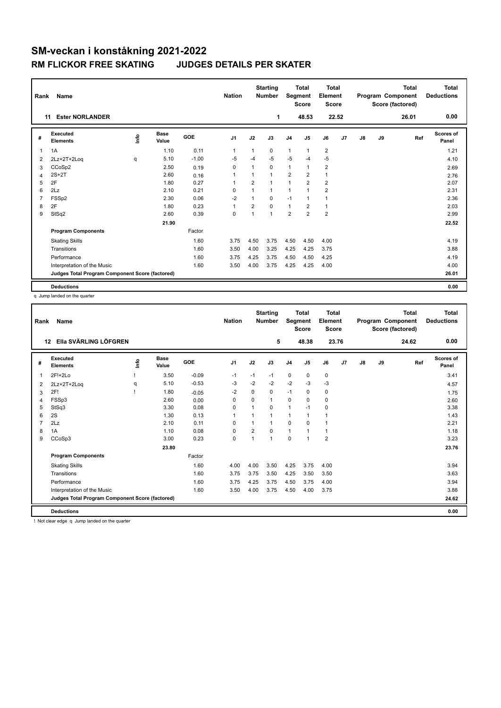| Rank           | Name                                            |      |                      |            | <b>Nation</b>  |                | <b>Starting</b><br><b>Number</b> | Segment        | <b>Total</b><br><b>Score</b> | Total<br>Element<br>Score |    |    |    | <b>Total</b><br>Program Component<br>Score (factored) | Total<br><b>Deductions</b> |
|----------------|-------------------------------------------------|------|----------------------|------------|----------------|----------------|----------------------------------|----------------|------------------------------|---------------------------|----|----|----|-------------------------------------------------------|----------------------------|
|                | <b>Ester NORLANDER</b><br>11                    |      |                      |            |                |                | 1                                |                | 48.53                        | 22.52                     |    |    |    | 26.01                                                 | 0.00                       |
| #              | Executed<br><b>Elements</b>                     | Info | <b>Base</b><br>Value | <b>GOE</b> | J <sub>1</sub> | J2             | J3                               | J <sub>4</sub> | J <sub>5</sub>               | J6                        | J7 | J8 | J9 | Ref                                                   | <b>Scores of</b><br>Panel  |
| 1              | 1A                                              |      | 1.10                 | 0.11       | 1              |                | 0                                | 1              | $\mathbf{1}$                 | $\overline{2}$            |    |    |    |                                                       | 1.21                       |
| 2              | 2Lz+2T+2Log                                     | q    | 5.10                 | $-1.00$    | $-5$           | $-4$           | $-5$                             | $-5$           | $-4$                         | $-5$                      |    |    |    |                                                       | 4.10                       |
| 3              | CCoSp2                                          |      | 2.50                 | 0.19       | $\Omega$       | 1              | $\Omega$                         | $\mathbf{1}$   | $\mathbf{1}$                 | $\overline{2}$            |    |    |    |                                                       | 2.69                       |
| 4              | $2S+2T$                                         |      | 2.60                 | 0.16       | $\overline{1}$ |                | $\mathbf{1}$                     | $\overline{2}$ | $\overline{2}$               | $\mathbf{1}$              |    |    |    |                                                       | 2.76                       |
| 5              | 2F                                              |      | 1.80                 | 0.27       | 1              | $\overline{2}$ | $\mathbf{1}$                     | $\mathbf{1}$   | $\overline{2}$               | $\overline{2}$            |    |    |    |                                                       | 2.07                       |
| 6              | 2Lz                                             |      | 2.10                 | 0.21       | $\Omega$       |                | $\mathbf{1}$                     | 1              |                              | $\overline{2}$            |    |    |    |                                                       | 2.31                       |
| $\overline{7}$ | FSSp2                                           |      | 2.30                 | 0.06       | $-2$           | 1              | $\mathbf 0$                      | $-1$           | 1                            | $\mathbf{1}$              |    |    |    |                                                       | 2.36                       |
| 8              | 2F                                              |      | 1.80                 | 0.23       | $\overline{1}$ | $\overline{2}$ | $\mathbf 0$                      | $\mathbf{1}$   | $\overline{2}$               | $\mathbf{1}$              |    |    |    |                                                       | 2.03                       |
| 9              | StSq2                                           |      | 2.60                 | 0.39       | $\mathbf 0$    | 1              | $\mathbf{1}$                     | $\overline{2}$ | $\overline{2}$               | $\overline{2}$            |    |    |    |                                                       | 2.99                       |
|                |                                                 |      | 21.90                |            |                |                |                                  |                |                              |                           |    |    |    |                                                       | 22.52                      |
|                | <b>Program Components</b>                       |      |                      | Factor     |                |                |                                  |                |                              |                           |    |    |    |                                                       |                            |
|                | <b>Skating Skills</b>                           |      |                      | 1.60       | 3.75           | 4.50           | 3.75                             | 4.50           | 4.50                         | 4.00                      |    |    |    |                                                       | 4.19                       |
|                | Transitions                                     |      |                      | 1.60       | 3.50           | 4.00           | 3.25                             | 4.25           | 4.25                         | 3.75                      |    |    |    |                                                       | 3.88                       |
|                | Performance                                     |      |                      | 1.60       | 3.75           | 4.25           | 3.75                             | 4.50           | 4.50                         | 4.25                      |    |    |    |                                                       | 4.19                       |
|                | Interpretation of the Music                     |      |                      | 1.60       | 3.50           | 4.00           | 3.75                             | 4.25           | 4.25                         | 4.00                      |    |    |    |                                                       | 4.00                       |
|                | Judges Total Program Component Score (factored) |      |                      |            |                |                |                                  |                |                              |                           |    |    |    |                                                       | 26.01                      |
|                | <b>Deductions</b>                               |      |                      |            |                |                |                                  |                |                              |                           |    |    |    |                                                       | 0.00                       |

q Jump landed on the quarter

| Rank | Name                                            |   |                      |         | <b>Nation</b>  |                | <b>Starting</b><br><b>Number</b> | Segment        | Total<br><b>Score</b> | <b>Total</b><br>Element<br><b>Score</b> |    |               |    | <b>Total</b><br>Program Component<br>Score (factored) | <b>Total</b><br><b>Deductions</b> |
|------|-------------------------------------------------|---|----------------------|---------|----------------|----------------|----------------------------------|----------------|-----------------------|-----------------------------------------|----|---------------|----|-------------------------------------------------------|-----------------------------------|
|      | Ella SVÄRLING LÖFGREN<br>12                     |   |                      |         |                |                | 5                                |                | 48.38                 | 23.76                                   |    |               |    | 24.62                                                 | 0.00                              |
| #    | Executed<br><b>Elements</b>                     | ۴ | <b>Base</b><br>Value | GOE     | J <sub>1</sub> | J2             | J3                               | J <sub>4</sub> | J5                    | J6                                      | J7 | $\mathsf{J}8$ | J9 | Ref                                                   | Scores of<br>Panel                |
| 1    | 2F!+2Lo                                         |   | 3.50                 | $-0.09$ | $-1$           | $-1$           | $-1$                             | $\mathbf 0$    | 0                     | 0                                       |    |               |    |                                                       | 3.41                              |
| 2    | 2Lz+2T+2Log                                     | q | 5.10                 | $-0.53$ | -3             | $-2$           | $-2$                             | $-2$           | $-3$                  | $-3$                                    |    |               |    |                                                       | 4.57                              |
| 3    | 2F!                                             |   | 1.80                 | $-0.05$ | $-2$           | $\Omega$       | 0                                | $-1$           | 0                     | 0                                       |    |               |    |                                                       | 1.75                              |
| 4    | FSSp3                                           |   | 2.60                 | 0.00    | $\Omega$       | $\Omega$       | 1                                | $\Omega$       | $\Omega$              | $\Omega$                                |    |               |    |                                                       | 2.60                              |
| 5    | StSq3                                           |   | 3.30                 | 0.08    | 0              | $\overline{ }$ | 0                                | $\mathbf{1}$   | $-1$                  | 0                                       |    |               |    |                                                       | 3.38                              |
| 6    | 2S                                              |   | 1.30                 | 0.13    | $\mathbf{1}$   |                | 1                                | $\mathbf{1}$   | 1                     | 1                                       |    |               |    |                                                       | 1.43                              |
|      | 2Lz                                             |   | 2.10                 | 0.11    | 0              |                | 1                                | 0              | 0                     | 1                                       |    |               |    |                                                       | 2.21                              |
| 8    | 1A                                              |   | 1.10                 | 0.08    | 0              | $\overline{2}$ | $\Omega$                         | $\mathbf{1}$   |                       | $\mathbf{1}$                            |    |               |    |                                                       | 1.18                              |
| 9    | CCoSp3                                          |   | 3.00                 | 0.23    | $\mathbf 0$    | 1              | 1                                | $\mathbf 0$    | 1                     | $\overline{2}$                          |    |               |    |                                                       | 3.23                              |
|      |                                                 |   | 23.80                |         |                |                |                                  |                |                       |                                         |    |               |    |                                                       | 23.76                             |
|      | <b>Program Components</b>                       |   |                      | Factor  |                |                |                                  |                |                       |                                         |    |               |    |                                                       |                                   |
|      | <b>Skating Skills</b>                           |   |                      | 1.60    | 4.00           | 4.00           | 3.50                             | 4.25           | 3.75                  | 4.00                                    |    |               |    |                                                       | 3.94                              |
|      | Transitions                                     |   |                      | 1.60    | 3.75           | 3.75           | 3.50                             | 4.25           | 3.50                  | 3.50                                    |    |               |    |                                                       | 3.63                              |
|      | Performance                                     |   |                      | 1.60    | 3.75           | 4.25           | 3.75                             | 4.50           | 3.75                  | 4.00                                    |    |               |    |                                                       | 3.94                              |
|      | Interpretation of the Music                     |   |                      | 1.60    | 3.50           | 4.00           | 3.75                             | 4.50           | 4.00                  | 3.75                                    |    |               |    |                                                       | 3.88                              |
|      | Judges Total Program Component Score (factored) |   |                      |         |                |                |                                  |                |                       |                                         |    |               |    |                                                       | 24.62                             |
|      | <b>Deductions</b>                               |   |                      |         |                |                |                                  |                |                       |                                         |    |               |    |                                                       | 0.00                              |

! Not clear edge q Jump landed on the quarter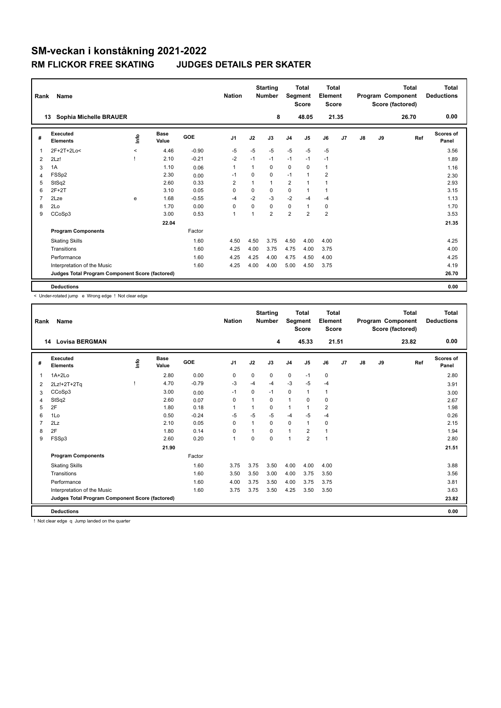| Rank           | Name                                            |         |               |            | <b>Nation</b>  |                | <b>Starting</b><br><b>Number</b> | Segment        | <b>Total</b><br><b>Score</b> | Total<br>Element<br>Score |       |    |    | <b>Total</b><br>Program Component<br>Score (factored) | Total<br><b>Deductions</b> |
|----------------|-------------------------------------------------|---------|---------------|------------|----------------|----------------|----------------------------------|----------------|------------------------------|---------------------------|-------|----|----|-------------------------------------------------------|----------------------------|
|                | Sophia Michelle BRAUER<br>13                    |         |               |            |                |                | 8                                |                | 48.05                        |                           | 21.35 |    |    | 26.70                                                 | 0.00                       |
| #              | Executed<br><b>Elements</b>                     | info    | Base<br>Value | <b>GOE</b> | J <sub>1</sub> | J2             | J3                               | J <sub>4</sub> | J <sub>5</sub>               | J6                        | J7    | J8 | J9 | Ref                                                   | Scores of<br>Panel         |
| 1              | 2F+2T+2Lo<                                      | $\prec$ | 4.46          | $-0.90$    | -5             | $-5$           | $-5$                             | $-5$           | $-5$                         | $-5$                      |       |    |    |                                                       | 3.56                       |
| 2              | 2Lz!                                            |         | 2.10          | $-0.21$    | $-2$           | $-1$           | $-1$                             | $-1$           | $-1$                         | $-1$                      |       |    |    |                                                       | 1.89                       |
| 3              | 1A                                              |         | 1.10          | 0.06       | $\overline{1}$ | 1              | $\Omega$                         | 0              | 0                            | $\mathbf{1}$              |       |    |    |                                                       | 1.16                       |
| 4              | FSSp2                                           |         | 2.30          | 0.00       | $-1$           | $\mathbf 0$    | $\mathbf 0$                      | $-1$           | 1                            | $\overline{2}$            |       |    |    |                                                       | 2.30                       |
| 5              | StSq2                                           |         | 2.60          | 0.33       | $\overline{2}$ |                | $\mathbf{1}$                     | $\overline{2}$ | 1                            | $\mathbf{1}$              |       |    |    |                                                       | 2.93                       |
| 6              | $2F+2T$                                         |         | 3.10          | 0.05       | 0              | 0              | 0                                | 0              | $\mathbf 1$                  | 1                         |       |    |    |                                                       | 3.15                       |
| $\overline{7}$ | 2Lze                                            | e       | 1.68          | $-0.55$    | $-4$           | $-2$           | $-3$                             | $-2$           | $-4$                         | $-4$                      |       |    |    |                                                       | 1.13                       |
| 8              | 2Lo                                             |         | 1.70          | 0.00       | 0              | 0              | $\mathbf 0$                      | 0              | 1                            | $\mathbf 0$               |       |    |    |                                                       | 1.70                       |
| 9              | CCoSp3                                          |         | 3.00          | 0.53       | $\overline{1}$ | $\overline{ }$ | $\overline{2}$                   | $\overline{2}$ | $\overline{2}$               | $\overline{2}$            |       |    |    |                                                       | 3.53                       |
|                |                                                 |         | 22.04         |            |                |                |                                  |                |                              |                           |       |    |    |                                                       | 21.35                      |
|                | <b>Program Components</b>                       |         |               | Factor     |                |                |                                  |                |                              |                           |       |    |    |                                                       |                            |
|                | <b>Skating Skills</b>                           |         |               | 1.60       | 4.50           | 4.50           | 3.75                             | 4.50           | 4.00                         | 4.00                      |       |    |    |                                                       | 4.25                       |
|                | Transitions                                     |         |               | 1.60       | 4.25           | 4.00           | 3.75                             | 4.75           | 4.00                         | 3.75                      |       |    |    |                                                       | 4.00                       |
|                | Performance                                     |         |               | 1.60       | 4.25           | 4.25           | 4.00                             | 4.75           | 4.50                         | 4.00                      |       |    |    |                                                       | 4.25                       |
|                | Interpretation of the Music                     |         |               | 1.60       | 4.25           | 4.00           | 4.00                             | 5.00           | 4.50                         | 3.75                      |       |    |    |                                                       | 4.19                       |
|                | Judges Total Program Component Score (factored) |         |               |            |                |                |                                  |                |                              |                           |       |    |    |                                                       | 26.70                      |
|                | <b>Deductions</b>                               |         |               |            |                |                |                                  |                |                              |                           |       |    |    |                                                       | 0.00                       |

< Under-rotated jump e Wrong edge ! Not clear edge

| Rank         | Name                                            |      |               |         | <b>Nation</b>  |          | <b>Starting</b><br><b>Number</b> | Segment        | <b>Total</b><br><b>Score</b> | <b>Total</b><br>Element<br><b>Score</b> |    |               |    | <b>Total</b><br>Program Component<br>Score (factored) | <b>Total</b><br><b>Deductions</b> |
|--------------|-------------------------------------------------|------|---------------|---------|----------------|----------|----------------------------------|----------------|------------------------------|-----------------------------------------|----|---------------|----|-------------------------------------------------------|-----------------------------------|
|              | <b>Lovisa BERGMAN</b><br>14                     |      |               |         |                |          | 4                                |                | 45.33                        | 21.51                                   |    |               |    | 23.82                                                 | 0.00                              |
| #            | Executed<br><b>Elements</b>                     | lnfo | Base<br>Value | GOE     | J <sub>1</sub> | J2       | J3                               | J <sub>4</sub> | J5                           | J6                                      | J7 | $\mathsf{J}8$ | J9 | Ref                                                   | Scores of<br>Panel                |
| $\mathbf{1}$ | $1A+2Lo$                                        |      | 2.80          | 0.00    | 0              | 0        | 0                                | $\mathbf 0$    | $-1$                         | 0                                       |    |               |    |                                                       | 2.80                              |
| 2            | 2Lz!+2T+2Tq                                     |      | 4.70          | $-0.79$ | -3             | -4       | $-4$                             | $-3$           | $-5$                         | $-4$                                    |    |               |    |                                                       | 3.91                              |
| 3            | CCoSp3                                          |      | 3.00          | 0.00    | $-1$           | $\Omega$ | $-1$                             | $\mathbf 0$    | -1                           | $\mathbf{1}$                            |    |               |    |                                                       | 3.00                              |
| 4            | StSq2                                           |      | 2.60          | 0.07    | 0              |          | 0                                | $\mathbf{1}$   | $\Omega$                     | 0                                       |    |               |    |                                                       | 2.67                              |
| 5            | 2F                                              |      | 1.80          | 0.18    | $\mathbf{1}$   |          | 0                                | $\mathbf{1}$   |                              | $\overline{\mathbf{c}}$                 |    |               |    |                                                       | 1.98                              |
| 6            | 1Lo                                             |      | 0.50          | $-0.24$ | $-5$           | $-5$     | $-5$                             | $-4$           | $-5$                         | $-4$                                    |    |               |    |                                                       | 0.26                              |
| 7            | 2Lz                                             |      | 2.10          | 0.05    | $\Omega$       |          | 0                                | $\mathbf 0$    | $\overline{1}$               | 0                                       |    |               |    |                                                       | 2.15                              |
| 8            | 2F                                              |      | 1.80          | 0.14    | 0              |          | $\Omega$                         | $\mathbf{1}$   | 2                            | $\mathbf{1}$                            |    |               |    |                                                       | 1.94                              |
| 9            | FSSp3                                           |      | 2.60          | 0.20    | $\mathbf{1}$   | $\Omega$ | $\Omega$                         | $\overline{1}$ | $\overline{2}$               | $\mathbf{1}$                            |    |               |    |                                                       | 2.80                              |
|              |                                                 |      | 21.90         |         |                |          |                                  |                |                              |                                         |    |               |    |                                                       | 21.51                             |
|              | <b>Program Components</b>                       |      |               | Factor  |                |          |                                  |                |                              |                                         |    |               |    |                                                       |                                   |
|              | <b>Skating Skills</b>                           |      |               | 1.60    | 3.75           | 3.75     | 3.50                             | 4.00           | 4.00                         | 4.00                                    |    |               |    |                                                       | 3.88                              |
|              | Transitions                                     |      |               | 1.60    | 3.50           | 3.50     | 3.00                             | 4.00           | 3.75                         | 3.50                                    |    |               |    |                                                       | 3.56                              |
|              | Performance                                     |      |               | 1.60    | 4.00           | 3.75     | 3.50                             | 4.00           | 3.75                         | 3.75                                    |    |               |    |                                                       | 3.81                              |
|              | Interpretation of the Music                     |      |               | 1.60    | 3.75           | 3.75     | 3.50                             | 4.25           | 3.50                         | 3.50                                    |    |               |    |                                                       | 3.63                              |
|              | Judges Total Program Component Score (factored) |      |               |         |                |          |                                  |                |                              |                                         |    |               |    |                                                       | 23.82                             |
|              | <b>Deductions</b>                               |      |               |         |                |          |                                  |                |                              |                                         |    |               |    |                                                       | 0.00                              |

! Not clear edge q Jump landed on the quarter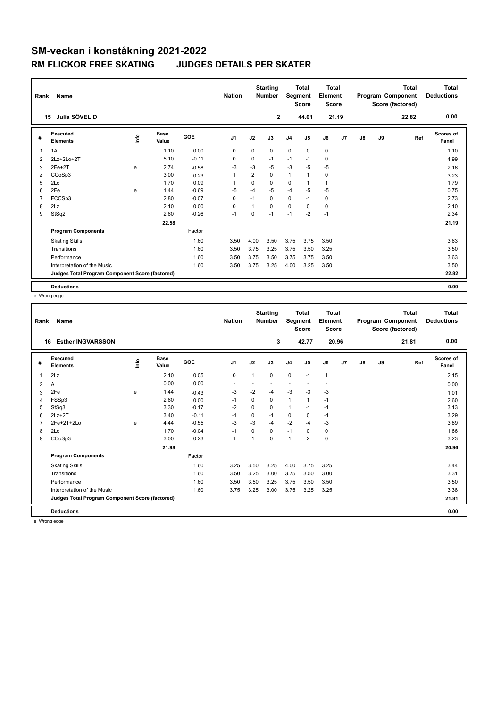| Rank | Name                                            |      |               |            | <b>Nation</b>  |                | <b>Starting</b><br><b>Number</b> | Segment        | <b>Total</b><br><b>Score</b> | Total<br>Element<br>Score |    |    |    | <b>Total</b><br>Program Component<br>Score (factored) | Total<br><b>Deductions</b> |
|------|-------------------------------------------------|------|---------------|------------|----------------|----------------|----------------------------------|----------------|------------------------------|---------------------------|----|----|----|-------------------------------------------------------|----------------------------|
|      | Julia SÖVELID<br>15                             |      |               |            |                |                | $\mathbf{2}$                     |                | 44.01                        | 21.19                     |    |    |    | 22.82                                                 | 0.00                       |
| #    | Executed<br><b>Elements</b>                     | ١nfo | Base<br>Value | <b>GOE</b> | J <sub>1</sub> | J2             | J3                               | J <sub>4</sub> | J <sub>5</sub>               | J6                        | J7 | J8 | J9 | Ref                                                   | Scores of<br>Panel         |
| 1    | 1A                                              |      | 1.10          | 0.00       | $\Omega$       | $\mathbf 0$    | 0                                | 0              | $\mathbf 0$                  | $\mathbf 0$               |    |    |    |                                                       | 1.10                       |
| 2    | 2Lz+2Lo+2T                                      |      | 5.10          | $-0.11$    | 0              | 0              | $-1$                             | $-1$           | $-1$                         | 0                         |    |    |    |                                                       | 4.99                       |
| 3    | $2Fe+2T$                                        | e    | 2.74          | $-0.58$    | -3             | $-3$           | $-5$                             | $-3$           | $-5$                         | $-5$                      |    |    |    |                                                       | 2.16                       |
| 4    | CCoSp3                                          |      | 3.00          | 0.23       | $\overline{1}$ | $\overline{2}$ | $\mathbf 0$                      | $\mathbf{1}$   | $\mathbf{1}$                 | 0                         |    |    |    |                                                       | 3.23                       |
| 5    | 2Lo                                             |      | 1.70          | 0.09       | 1              | $\Omega$       | $\Omega$                         | 0              | 1                            | $\mathbf{1}$              |    |    |    |                                                       | 1.79                       |
| 6    | 2Fe                                             | e    | 1.44          | $-0.69$    | $-5$           | $-4$           | $-5$                             | $-4$           | $-5$                         | $-5$                      |    |    |    |                                                       | 0.75                       |
| 7    | FCCSp3                                          |      | 2.80          | $-0.07$    | 0              | $-1$           | $\Omega$                         | 0              | $-1$                         | $\mathbf 0$               |    |    |    |                                                       | 2.73                       |
| 8    | 2Lz                                             |      | 2.10          | 0.00       | 0              | $\mathbf{1}$   | $\mathbf 0$                      | 0              | 0                            | 0                         |    |    |    |                                                       | 2.10                       |
| 9    | StSq2                                           |      | 2.60          | $-0.26$    | $-1$           | $\mathbf 0$    | $-1$                             | $-1$           | $-2$                         | $-1$                      |    |    |    |                                                       | 2.34                       |
|      |                                                 |      | 22.58         |            |                |                |                                  |                |                              |                           |    |    |    |                                                       | 21.19                      |
|      | <b>Program Components</b>                       |      |               | Factor     |                |                |                                  |                |                              |                           |    |    |    |                                                       |                            |
|      | <b>Skating Skills</b>                           |      |               | 1.60       | 3.50           | 4.00           | 3.50                             | 3.75           | 3.75                         | 3.50                      |    |    |    |                                                       | 3.63                       |
|      | Transitions                                     |      |               | 1.60       | 3.50           | 3.75           | 3.25                             | 3.75           | 3.50                         | 3.25                      |    |    |    |                                                       | 3.50                       |
|      | Performance                                     |      |               | 1.60       | 3.50           | 3.75           | 3.50                             | 3.75           | 3.75                         | 3.50                      |    |    |    |                                                       | 3.63                       |
|      | Interpretation of the Music                     |      |               | 1.60       | 3.50           | 3.75           | 3.25                             | 4.00           | 3.25                         | 3.50                      |    |    |    |                                                       | 3.50                       |
|      | Judges Total Program Component Score (factored) |      |               |            |                |                |                                  |                |                              |                           |    |    |    |                                                       | 22.82                      |
|      | <b>Deductions</b>                               |      |               |            |                |                |                                  |                |                              |                           |    |    |    |                                                       | 0.00                       |

e Wrong edge

| Rank | <b>Name</b>                                     |      |               |            | <b>Nation</b>  |             | <b>Starting</b><br><b>Number</b> | Segment        | <b>Total</b><br><b>Score</b> | Total<br>Element<br><b>Score</b> |                |               |    | <b>Total</b><br>Program Component<br>Score (factored) | <b>Total</b><br><b>Deductions</b> |
|------|-------------------------------------------------|------|---------------|------------|----------------|-------------|----------------------------------|----------------|------------------------------|----------------------------------|----------------|---------------|----|-------------------------------------------------------|-----------------------------------|
| 16   | <b>Esther INGVARSSON</b>                        |      |               |            |                |             | 3                                |                | 42.77                        | 20.96                            |                |               |    | 21.81                                                 | 0.00                              |
| #    | Executed<br><b>Elements</b>                     | lnfo | Base<br>Value | <b>GOE</b> | J <sub>1</sub> | J2          | J3                               | J <sub>4</sub> | J5                           | J6                               | J <sub>7</sub> | $\mathsf{J}8$ | J9 | Ref                                                   | Scores of<br>Panel                |
| 1    | 2Lz                                             |      | 2.10          | 0.05       | $\pmb{0}$      | 1           | $\mathbf 0$                      | $\mathbf 0$    | $-1$                         | $\mathbf{1}$                     |                |               |    |                                                       | 2.15                              |
| 2    | A                                               |      | 0.00          | 0.00       |                |             |                                  |                |                              |                                  |                |               |    |                                                       | 0.00                              |
| 3    | 2Fe                                             | e    | 1.44          | $-0.43$    | -3             | $-2$        | $-4$                             | $-3$           | $-3$                         | $-3$                             |                |               |    |                                                       | 1.01                              |
| 4    | FSSp3                                           |      | 2.60          | 0.00       | -1             | 0           | 0                                | 1              | 1                            | $-1$                             |                |               |    |                                                       | 2.60                              |
| 5    | StSq3                                           |      | 3.30          | $-0.17$    | $-2$           | $\mathbf 0$ | $\mathbf 0$                      | 1              | $-1$                         | $-1$                             |                |               |    |                                                       | 3.13                              |
| 6    | $2Lz+2T$                                        |      | 3.40          | $-0.11$    | -1             | $\Omega$    | $-1$                             | $\mathbf 0$    | 0                            | $-1$                             |                |               |    |                                                       | 3.29                              |
|      | 2Fe+2T+2Lo                                      | e    | 4.44          | $-0.55$    | -3             | $-3$        | $-4$                             | $-2$           | $-4$                         | -3                               |                |               |    |                                                       | 3.89                              |
| 8    | 2Lo                                             |      | 1.70          | $-0.04$    | $-1$           | $\Omega$    | $\Omega$                         | $-1$           | 0                            | 0                                |                |               |    |                                                       | 1.66                              |
| 9    | CCoSp3                                          |      | 3.00          | 0.23       | $\overline{1}$ |             | 0                                | 1              | $\overline{2}$               | $\mathbf 0$                      |                |               |    |                                                       | 3.23                              |
|      |                                                 |      | 21.98         |            |                |             |                                  |                |                              |                                  |                |               |    |                                                       | 20.96                             |
|      | <b>Program Components</b>                       |      |               | Factor     |                |             |                                  |                |                              |                                  |                |               |    |                                                       |                                   |
|      | <b>Skating Skills</b>                           |      |               | 1.60       | 3.25           | 3.50        | 3.25                             | 4.00           | 3.75                         | 3.25                             |                |               |    |                                                       | 3.44                              |
|      | Transitions                                     |      |               | 1.60       | 3.50           | 3.25        | 3.00                             | 3.75           | 3.50                         | 3.00                             |                |               |    |                                                       | 3.31                              |
|      | Performance                                     |      |               | 1.60       | 3.50           | 3.50        | 3.25                             | 3.75           | 3.50                         | 3.50                             |                |               |    |                                                       | 3.50                              |
|      | Interpretation of the Music                     |      |               | 1.60       | 3.75           | 3.25        | 3.00                             | 3.75           | 3.25                         | 3.25                             |                |               |    |                                                       | 3.38                              |
|      | Judges Total Program Component Score (factored) |      |               |            |                |             |                                  |                |                              |                                  |                |               |    |                                                       | 21.81                             |
|      | <b>Deductions</b>                               |      |               |            |                |             |                                  |                |                              |                                  |                |               |    |                                                       | 0.00                              |

e Wrong edge